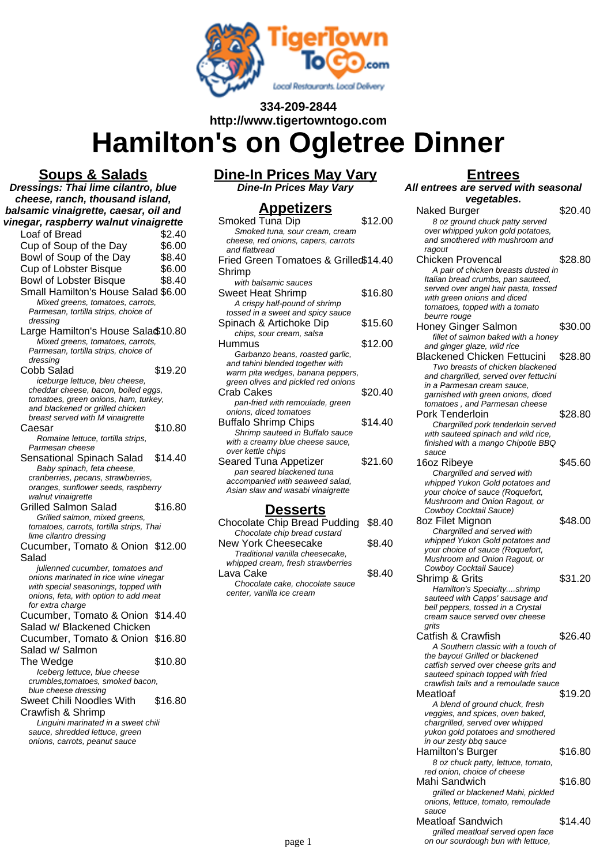

## **334-209-2844 http://www.tigertowntogo.com**

# **Hamilton's on Ogletree Dinner**

**Soups & Salads Dressings: Thai lime cilantro, blue cheese, ranch, thousand island, balsamic vinaigrette, caesar, oil and vinegar, raspberry walnut vinaigrette** Loaf of Bread  $\frac{2.40}{0.000}$ <br>Cup of Soup of the Day \$6.00 Cup of Soup of the Day \$6.00<br>Bowl of Soup of the Day \$8.40 Bowl of Soup of the Day \$8.40<br>Cup of Lobster Bisque \$6.00 Cup of Lobster Bisque Bowl of Lobster Bisque \$8.40 Small Hamilton's House Salad \$6.00 Mixed greens, tomatoes, carrots, Parmesan, tortilla strips, choice of dressing Large Hamilton's House Sala\$10.80 Mixed greens, tomatoes, carrots, Parmesan, tortilla strips, choice of dressing Cobb Salad \$19.20 iceburge lettuce, bleu cheese, cheddar cheese, bacon, boiled eggs, tomatoes, green onions, ham, turkey, and blackened or grilled chicken breast served with M vinaigrette Caesar \$10.80 Romaine lettuce, tortilla strips, Parmesan cheese Sensational Spinach Salad \$14.40 Baby spinach, feta cheese, cranberries, pecans, strawberries, oranges, sunflower seeds, raspberry walnut vinaigrette Grilled Salmon Salad \$16.80 Grilled salmon, mixed greens, tomatoes, carrots, tortilla strips, Thai lime cilantro dressing Cucumber, Tomato & Onion \$12.00 Salad julienned cucumber, tomatoes and onions marinated in rice wine vinegar with special seasonings, topped with onions, feta, with option to add meat for extra charge Cucumber, Tomato & Onion \$14.40 Salad w/ Blackened Chicken Cucumber, Tomato & Onion \$16.80 Salad w/ Salmon The Wedge  $$10.80$ Iceberg lettuce, blue cheese crumbles,tomatoes, smoked bacon, blue cheese dressing Sweet Chili Noodles With Crawfish & Shrimp \$16.80 Linguini marinated in a sweet chili sauce, shredded lettuce, green onions, carrots, peanut sauce

**Dine-In Prices May Vary Dine-In Prices May Vary**

# **Appetizers**

| <u>дррендегэ</u>                                    |         |
|-----------------------------------------------------|---------|
| Smoked Tuna Dip                                     | \$12.00 |
| Smoked tuna, sour cream, cream                      |         |
| cheese, red onions, capers, carrots                 |         |
| and flatbread                                       |         |
| Fried Green Tomatoes & Grilled\$14.40               |         |
| Shrimp                                              |         |
| with balsamic sauces                                |         |
| Sweet Heat Shrimp                                   | \$16.80 |
| A crispy half-pound of shrimp                       |         |
| tossed in a sweet and spicy sauce                   |         |
| Spinach & Artichoke Dip                             | \$15.60 |
| chips, sour cream, salsa                            |         |
| Hummus                                              | \$12.00 |
| Garbanzo beans, roasted garlic,                     |         |
| and tahini blended together with                    |         |
| warm pita wedges, banana peppers,                   |         |
| green olives and pickled red onions                 |         |
| Crab Cakes                                          | \$20.40 |
| pan-fried with remoulade, green                     |         |
| onions, diced tomatoes                              |         |
| <b>Buffalo Shrimp Chips</b>                         | \$14.40 |
| Shrimp sauteed in Buffalo sauce                     |         |
| with a creamy blue cheese sauce,                    |         |
| over kettle chips                                   |         |
| Seared Tuna Appetizer                               | \$21.60 |
| pan seared blackened tuna                           |         |
| accompanied with seaweed salad,                     |         |
| Asian slaw and wasabi vinaigrette                   |         |
| <b>Desserts</b>                                     |         |
|                                                     | \$8.40  |
| Chocolate Chip Bread Pudding                        |         |
| Chocolate chip bread custard<br>New York Cheesecake | \$8.40  |
|                                                     |         |

| Chocolate chip bread custard      |        |
|-----------------------------------|--------|
| New York Cheesecake               | \$8.40 |
| Traditional vanilla cheesecake,   |        |
| whipped cream, fresh strawberries |        |
| Lava Cake                         | \$8.40 |
| Chocolate cake, chocolate sauce   |        |
| center, vanilla ice cream         |        |

### **Entrees**

**All entrees are served with seasonal vegetables.**

| Naked Burger                                                              | \$20.40 |
|---------------------------------------------------------------------------|---------|
| 8 oz ground chuck patty served                                            |         |
| over whipped yukon gold potatoes,                                         |         |
| and smothered with mushroom and                                           |         |
| ragout                                                                    | \$28.80 |
| <b>Chicken Provencal</b>                                                  |         |
| A pair of chicken breasts dusted in<br>Italian bread crumbs, pan sauteed, |         |
| served over angel hair pasta, tossed                                      |         |
| with green onions and diced                                               |         |
| tomatoes, topped with a tomato                                            |         |
| beurre rouge                                                              |         |
| Honey Ginger Salmon                                                       | \$30.00 |
| fillet of salmon baked with a honey                                       |         |
| and ginger glaze, wild rice                                               |         |
| <b>Blackened Chicken Fettucini</b>                                        | \$28.80 |
| Two breasts of chicken blackened                                          |         |
| and chargrilled, served over fettucini                                    |         |
| in a Parmesan cream sauce,                                                |         |
| garnished with green onions, diced                                        |         |
| tomatoes, and Parmesan cheese                                             |         |
| Pork Tenderloin                                                           | \$28.80 |
| Chargrilled pork tenderloin served                                        |         |
| with sauteed spinach and wild rice,                                       |         |
| finished with a mango Chipotle BBQ<br>sauce                               |         |
|                                                                           | \$45.60 |
| 16oz Ribeye<br>Chargrilled and served with                                |         |
| whipped Yukon Gold potatoes and                                           |         |
| your choice of sauce (Roquefort,                                          |         |
| Mushroom and Onion Ragout, or                                             |         |
| Cowboy Cocktail Sauce)                                                    |         |
| 8oz Filet Mignon                                                          | \$48.00 |
| Chargrilled and served with                                               |         |
| whipped Yukon Gold potatoes and                                           |         |
| your choice of sauce (Roquefort,                                          |         |
| Mushroom and Onion Ragout, or                                             |         |
| Cowboy Cocktail Sauce)                                                    |         |
| Shrimp & Grits                                                            | \$31.20 |
| Hamilton's Specialtyshrimp                                                |         |
| sauteed with Capps' sausage and<br>bell peppers, tossed in a Crystal      |         |
| cream sauce served over cheese                                            |         |
| grits                                                                     |         |
| Catfish & Crawfish                                                        | \$26.40 |
| A Southern classic with a touch of                                        |         |
| the bayou! Grilled or blackened                                           |         |
| catfish served over cheese grits and                                      |         |
| sauteed spinach topped with fried                                         |         |
| crawfish tails and a remoulade sauce                                      |         |
| Meatloaf                                                                  | \$19.20 |
| A blend of ground chuck, fresh                                            |         |
| veggies, and spices, oven baked,                                          |         |
| chargrilled, served over whipped                                          |         |
| yukon gold potatoes and smothered<br>in our zesty bbq sauce               |         |
| Hamilton's Burger                                                         | \$16.80 |
| 8 oz chuck patty, lettuce, tomato,                                        |         |
| red onion, choice of cheese                                               |         |
| Mahi Sandwich                                                             | \$16.80 |
| grilled or blackened Mahi, pickled                                        |         |
| onions, lettuce, tomato, remoulade                                        |         |
| sauce                                                                     |         |
| <b>Meatloaf Sandwich</b>                                                  | \$14.40 |
| grilled meatloaf served open face                                         |         |